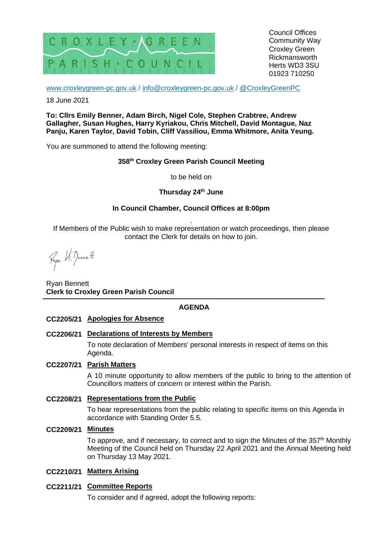

Council Offices Community Way Croxley Green Rickmansworth Herts WD3 3SU 01923 710250

[www.croxleygreen-pc.gov.uk](http://www.croxleygreen-pc.gov.uk/) / [info@croxleygreen-pc.gov.uk](mailto:info@croxleygreen-pc.gov.uk) / [@CroxleyGreenPC](https://twitter.com/CroxleyGreenPC)

18 June 2021

**To: Cllrs Emily Benner, Adam Birch, Nigel Cole, Stephen Crabtree, Andrew Gallagher, Susan Hughes, Harry Kyriakou, Chris Mitchell, David Montague, Naz Panju, Karen Taylor, David Tobin, Cliff Vassiliou, Emma Whitmore, Anita Yeung.**

You are summoned to attend the following meeting:

### **358 th Croxley Green Parish Council Meeting**

to be held on

#### **Thursday 24th June**

### **In Council Chamber, Council Offices at 8:00pm**

. If Members of the Public wish to make representation or watch proceedings, then please contact the Clerk for details on how to join.

Fyon U. Bennett

Ryan Bennett **Clerk to Croxley Green Parish Council**

### **AGENDA**

#### **CC2205/21 Apologies for Absence**

#### **CC2206/21 Declarations of Interests by Members**

To note declaration of Members' personal interests in respect of items on this Agenda.

#### **CC2207/21 Parish Matters**

A 10 minute opportunity to allow members of the public to bring to the attention of Councillors matters of concern or interest within the Parish.

#### **CC2208/21 Representations from the Public**

To hear representations from the public relating to specific items on this Agenda in accordance with Standing Order 5.5.

#### **CC2209/21 Minutes**

To approve, and if necessary, to correct and to sign the Minutes of the 357<sup>th</sup> Monthly Meeting of the Council held on Thursday 22 April 2021 and the Annual Meeting held on Thursday 13 May 2021.

#### **CC2210/21 Matters Arising**

#### **CC2211/21 Committee Reports**

To consider and if agreed, adopt the following reports: